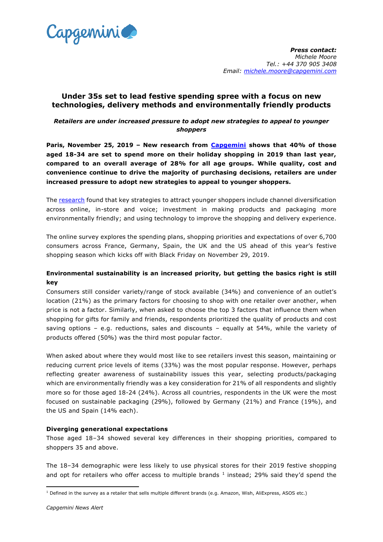

# **Under 35s set to lead festive spending spree with a focus on new technologies, delivery methods and environmentally friendly products**

# *Retailers are under increased pressure to adopt new strategies to appeal to younger shoppers*

**Paris, November 25, 2019 – New research from [Capgemini](https://www.capgemini.com/) shows that 40% of those aged 18-34 are set to spend more on their holiday shopping in 2019 than last year, compared to an overall average of 28% for all age groups. While quality, cost and convenience continue to drive the majority of purchasing decisions, retailers are under increased pressure to adopt new strategies to appeal to younger shoppers.**

The [research](https://www.capgemini.com/resources/2019-festive-shopping/?utm_source=pr&utm_medium=referral&utm_content=cprd_none_link_pressrelease_none&utm_campaign=CPRD_2019HolidayShoppingSurvey) found that key strategies to attract younger shoppers include channel diversification across online, in-store and voice; investment in making products and packaging more environmentally friendly; and using technology to improve the shopping and delivery experience.

The online survey explores the spending plans, shopping priorities and expectations of over 6,700 consumers across France, Germany, Spain, the UK and the US ahead of this year's festive shopping season which kicks off with Black Friday on November 29, 2019.

# **Environmental sustainability is an increased priority, but getting the basics right is still key**

Consumers still consider variety/range of stock available (34%) and convenience of an outlet's location (21%) as the primary factors for choosing to shop with one retailer over another, when price is not a factor. Similarly, when asked to choose the top 3 factors that influence them when shopping for gifts for family and friends, respondents prioritized the quality of products and cost saving options – e.g. reductions, sales and discounts – equally at 54%, while the variety of products offered (50%) was the third most popular factor.

When asked about where they would most like to see retailers invest this season, maintaining or reducing current price levels of items (33%) was the most popular response. However, perhaps reflecting greater awareness of sustainability issues this year, selecting products/packaging which are environmentally friendly was a key consideration for 21% of all respondents and slightly more so for those aged 18-24 (24%). Across all countries, respondents in the UK were the most focused on sustainable packaging (29%), followed by Germany (21%) and France (19%), and the US and Spain (14% each).

# **Diverging generational expectations**

Those aged 18–34 showed several key differences in their shopping priorities, compared to shoppers 35 and above.

The 18–34 demographic were less likely to use physical stores for their 2019 festive shopping and opt for retailers who offer access to multiple brands  $1$  instead; 29% said they'd spend the

**<sup>.</sup>**  $1$  Defined in the survey as a retailer that sells multiple different brands (e.g. Amazon, Wish, AliExpress, ASOS etc.)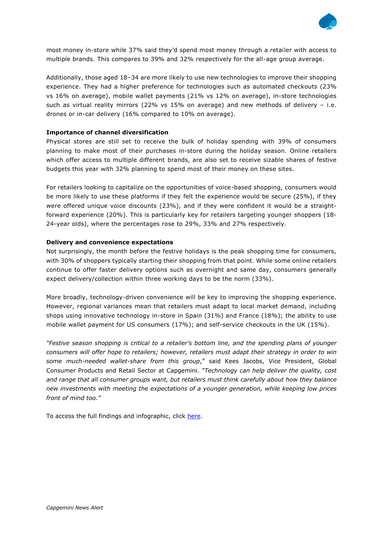

most money in-store while 37% said they'd spend most money through a retailer with access to multiple brands. This compares to 39% and 32% respectively for the all-age group average.

Additionally, those aged 18–34 are more likely to use new technologies to improve their shopping experience. They had a higher preference for technologies such as automated checkouts (23% vs 16% on average), mobile wallet payments (21% vs 12% on average), in-store technologies such as virtual reality mirrors (22% vs  $15%$  on average) and new methods of delivery – i.e. drones or in-car delivery (16% compared to 10% on average).

### **Importance of channel diversification**

Physical stores are still set to receive the bulk of holiday spending with 39% of consumers planning to make most of their purchases in-store during the holiday season. Online retailers which offer access to multiple different brands, are also set to receive sizable shares of festive budgets this year with 32% planning to spend most of their money on these sites.

For retailers looking to capitalize on the opportunities of voice-based shopping, consumers would be more likely to use these platforms if they felt the experience would be secure (25%), if they were offered unique voice discounts (23%), and if they were confident it would be a straightforward experience (20%). This is particularly key for retailers targeting younger shoppers (18- 24-year olds), where the percentages rose to 29%, 33% and 27% respectively.

#### **Delivery and convenience expectations**

Not surprisingly, the month before the festive holidays is the peak shopping time for consumers, with 30% of shoppers typically starting their shopping from that point. While some online retailers continue to offer faster delivery options such as overnight and same day, consumers generally expect delivery/collection within three working days to be the norm (33%).

More broadly, technology-driven convenience will be key to improving the shopping experience. However, regional variances mean that retailers must adapt to local market demand, including shops using innovative technology in-store in Spain (31%) and France (18%); the ability to use mobile wallet payment for US consumers (17%); and self-service checkouts in the UK (15%).

*"Festive season shopping is critical to a retailer's bottom line, and the spending plans of younger consumers will offer hope to retailers; however, retailers must adapt their strategy in order to win some much-needed wallet-share from this group*," said Kees Jacobs, Vice President, Global Consumer Products and Retail Sector at Capgemini. *"Technology can help deliver the quality, cost and range that all consumer groups want, but retailers must think carefully about how they balance new investments with meeting the expectations of a younger generation, while keeping low prices front of mind too."*

To access the full findings and infographic, click [here.](https://www.capgemini.com/resources/2019-festive-shopping/?utm_source=pr&utm_medium=referral&utm_content=cprd_none_link_pressrelease_none&utm_campaign=CPRD_2019HolidayShoppingSurvey)